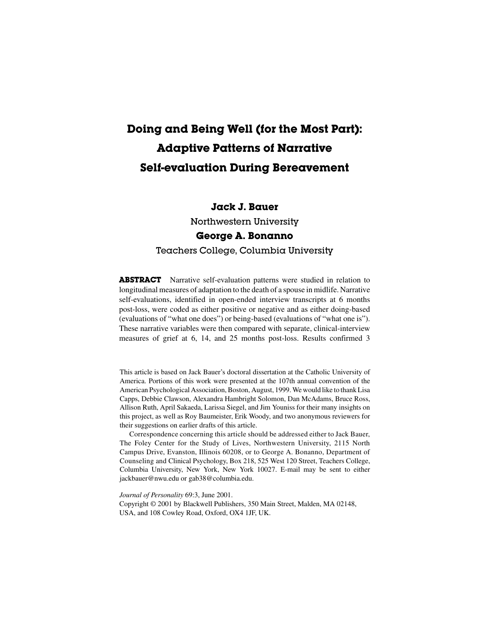# **Doing and Being Well (for the Most Part): Adaptive Patterns of Narrative Self-evaluation During Bereavement**

# **Jack J. Bauer**

# Northwestern University **George A. Bonanno**

Teachers College, Columbia University

**ABSTRACT** Narrative self-evaluation patterns were studied in relation to longitudinal measures of adaptation to the death of a spouse in midlife. Narrative self-evaluations, identified in open-ended interview transcripts at 6 months post-loss, were coded as either positive or negative and as either doing-based (evaluations of "what one does") or being-based (evaluations of "what one is"). These narrative variables were then compared with separate, clinical-interview measures of grief at 6, 14, and 25 months post-loss. Results confirmed 3

This article is based on Jack Bauer's doctoral dissertation at the Catholic University of America. Portions of this work were presented at the 107th annual convention of the American Psychological Association, Boston, August, 1999. We would like to thank Lisa Capps, Debbie Clawson, Alexandra Hambright Solomon, Dan McAdams, Bruce Ross, Allison Ruth, April Sakaeda, Larissa Siegel, and Jim Youniss for their many insights on this project, as well as Roy Baumeister, Erik Woody, and two anonymous reviewers for their suggestions on earlier drafts of this article.

Correspondence concerning this article should be addressed either to Jack Bauer, The Foley Center for the Study of Lives, Northwestern University, 2115 North Campus Drive, Evanston, Illinois 60208, or to George A. Bonanno, Department of Counseling and Clinical Psychology, Box 218, 525 West 120 Street, Teachers College, Columbia University, New York, New York 10027. E-mail may be sent to either jackbauer@nwu.edu or gab38@columbia.edu.

# *Journal of Personality* 69:3, June 2001.

Copyright © 2001 by Blackwell Publishers, 350 Main Street, Malden, MA 02148, USA, and 108 Cowley Road, Oxford, OX4 1JF, UK.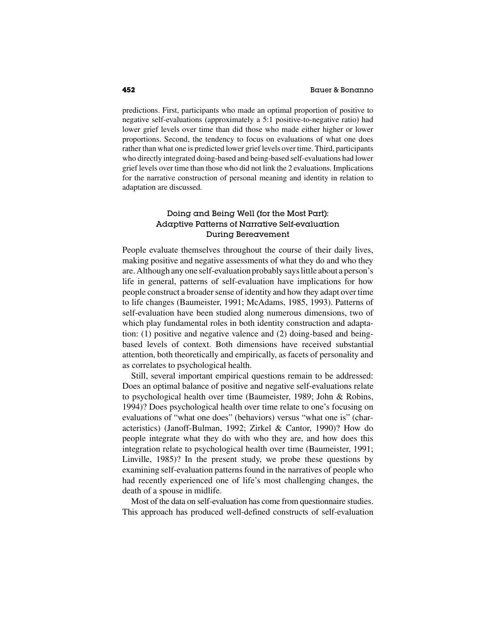predictions. First, participants who made an optimal proportion of positive to negative self-evaluations (approximately a 5:1 positive-to-negative ratio) had lower grief levels over time than did those who made either higher or lower proportions. Second, the tendency to focus on evaluations of what one does rather than what one is predicted lower grief levels over time. Third, participants who directly integrated doing-based and being-based self-evaluations had lower grief levels over time than those who did not link the 2 evaluations. Implications for the narrative construction of personal meaning and identity in relation to adaptation are discussed.

# Doing and Being Well (for the Most Part): Adaptive Patterns of Narrative Self-evaluation During Bereavement

People evaluate themselves throughout the course of their daily lives, making positive and negative assessments of what they do and who they are. Although any one self-evaluation probably says little about a person's life in general, patterns of self-evaluation have implications for how people construct a broader sense of identity and how they adapt over time to life changes (Baumeister, 1991; McAdams, 1985, 1993). Patterns of self-evaluation have been studied along numerous dimensions, two of which play fundamental roles in both identity construction and adaptation: (1) positive and negative valence and (2) doing-based and beingbased levels of context. Both dimensions have received substantial attention, both theoretically and empirically, as facets of personality and as correlates to psychological health.

Still, several important empirical questions remain to be addressed: Does an optimal balance of positive and negative self-evaluations relate to psychological health over time (Baumeister, 1989; John & Robins, 1994)? Does psychological health over time relate to one's focusing on evaluations of "what one does" (behaviors) versus "what one is" (characteristics) (Janoff-Bulman, 1992; Zirkel & Cantor, 1990)? How do people integrate what they do with who they are, and how does this integration relate to psychological health over time (Baumeister, 1991; Linville, 1985)? In the present study, we probe these questions by examining self-evaluation patterns found in the narratives of people who had recently experienced one of life's most challenging changes, the death of a spouse in midlife.

Most of the data on self-evaluation has come from questionnaire studies. This approach has produced well-defined constructs of self-evaluation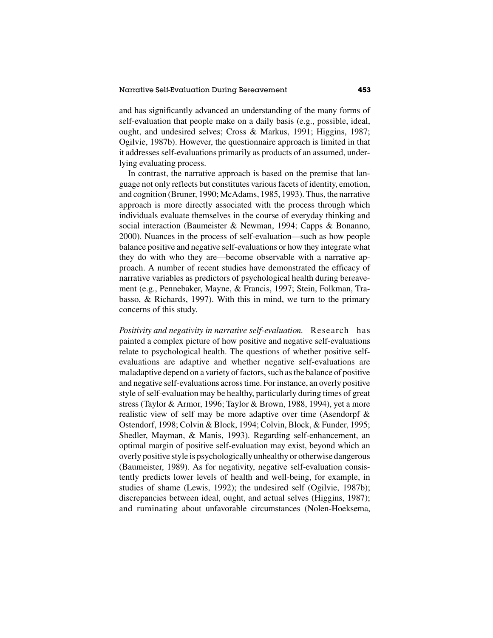and has significantly advanced an understanding of the many forms of self-evaluation that people make on a daily basis (e.g., possible, ideal, ought, and undesired selves; Cross & Markus, 1991; Higgins, 1987; Ogilvie, 1987b). However, the questionnaire approach is limited in that it addresses self-evaluations primarily as products of an assumed, underlying evaluating process.

In contrast, the narrative approach is based on the premise that language not only reflects but constitutes various facets of identity, emotion, and cognition (Bruner, 1990; McAdams, 1985, 1993). Thus, the narrative approach is more directly associated with the process through which individuals evaluate themselves in the course of everyday thinking and social interaction (Baumeister & Newman, 1994; Capps & Bonanno, 2000). Nuances in the process of self-evaluation—such as how people balance positive and negative self-evaluations or how they integrate what they do with who they are—become observable with a narrative approach. A number of recent studies have demonstrated the efficacy of narrative variables as predictors of psychological health during bereavement (e.g., Pennebaker, Mayne, & Francis, 1997; Stein, Folkman, Trabasso, & Richards, 1997). With this in mind, we turn to the primary concerns of this study.

*Positivity and negativity in narrative self-evaluation.* Research has painted a complex picture of how positive and negative self-evaluations relate to psychological health. The questions of whether positive selfevaluations are adaptive and whether negative self-evaluations are maladaptive depend on a variety of factors, such as the balance of positive and negative self-evaluations across time. For instance, an overly positive style of self-evaluation may be healthy, particularly during times of great stress (Taylor & Armor, 1996; Taylor & Brown, 1988, 1994), yet a more realistic view of self may be more adaptive over time (Asendorpf & Ostendorf, 1998; Colvin & Block, 1994; Colvin, Block, & Funder, 1995; Shedler, Mayman, & Manis, 1993). Regarding self-enhancement, an optimal margin of positive self-evaluation may exist, beyond which an overly positive style is psychologically unhealthy or otherwise dangerous (Baumeister, 1989). As for negativity, negative self-evaluation consistently predicts lower levels of health and well-being, for example, in studies of shame (Lewis, 1992); the undesired self (Ogilvie, 1987b); discrepancies between ideal, ought, and actual selves (Higgins, 1987); and ruminating about unfavorable circumstances (Nolen-Hoeksema,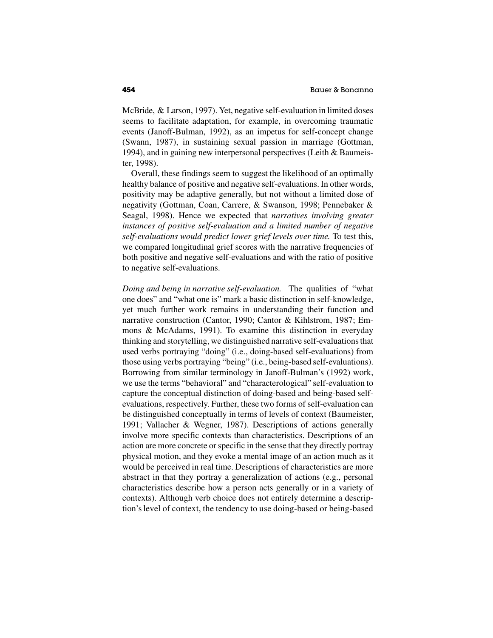McBride, & Larson, 1997). Yet, negative self-evaluation in limited doses seems to facilitate adaptation, for example, in overcoming traumatic events (Janoff-Bulman, 1992), as an impetus for self-concept change (Swann, 1987), in sustaining sexual passion in marriage (Gottman, 1994), and in gaining new interpersonal perspectives (Leith & Baumeister, 1998).

Overall, these findings seem to suggest the likelihood of an optimally healthy balance of positive and negative self-evaluations. In other words, positivity may be adaptive generally, but not without a limited dose of negativity (Gottman, Coan, Carrere, & Swanson, 1998; Pennebaker & Seagal, 1998). Hence we expected that *narratives involving greater instances of positive self-evaluation and a limited number of negative self-evaluations would predict lower grief levels over time.* To test this, we compared longitudinal grief scores with the narrative frequencies of both positive and negative self-evaluations and with the ratio of positive to negative self-evaluations.

*Doing and being in narrative self-evaluation.* The qualities of "what one does" and "what one is" mark a basic distinction in self-knowledge, yet much further work remains in understanding their function and narrative construction (Cantor, 1990; Cantor & Kihlstrom, 1987; Emmons & McAdams, 1991). To examine this distinction in everyday thinking and storytelling, we distinguished narrative self-evaluations that used verbs portraying "doing" (i.e., doing-based self-evaluations) from those using verbs portraying "being" (i.e., being-based self-evaluations). Borrowing from similar terminology in Janoff-Bulman's (1992) work, we use the terms "behavioral" and "characterological" self-evaluation to capture the conceptual distinction of doing-based and being-based selfevaluations, respectively. Further, these two forms of self-evaluation can be distinguished conceptually in terms of levels of context (Baumeister, 1991; Vallacher & Wegner, 1987). Descriptions of actions generally involve more specific contexts than characteristics. Descriptions of an action are more concrete or specific in the sense that they directly portray physical motion, and they evoke a mental image of an action much as it would be perceived in real time. Descriptions of characteristics are more abstract in that they portray a generalization of actions (e.g., personal characteristics describe how a person acts generally or in a variety of contexts). Although verb choice does not entirely determine a description's level of context, the tendency to use doing-based or being-based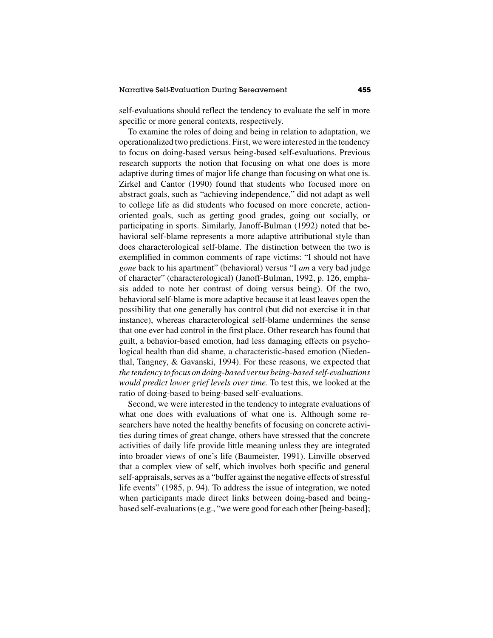self-evaluations should reflect the tendency to evaluate the self in more specific or more general contexts, respectively.

To examine the roles of doing and being in relation to adaptation, we operationalized two predictions. First, we were interested in the tendency to focus on doing-based versus being-based self-evaluations. Previous research supports the notion that focusing on what one does is more adaptive during times of major life change than focusing on what one is. Zirkel and Cantor (1990) found that students who focused more on abstract goals, such as "achieving independence," did not adapt as well to college life as did students who focused on more concrete, actionoriented goals, such as getting good grades, going out socially, or participating in sports. Similarly, Janoff-Bulman (1992) noted that behavioral self-blame represents a more adaptive attributional style than does characterological self-blame. The distinction between the two is exemplified in common comments of rape victims: "I should not have *gone* back to his apartment" (behavioral) versus "I *am* a very bad judge of character" (characterological) (Janoff-Bulman, 1992, p. 126, emphasis added to note her contrast of doing versus being). Of the two, behavioral self-blame is more adaptive because it at least leaves open the possibility that one generally has control (but did not exercise it in that instance), whereas characterological self-blame undermines the sense that one ever had control in the first place. Other research has found that guilt, a behavior-based emotion, had less damaging effects on psychological health than did shame, a characteristic-based emotion (Niedenthal, Tangney, & Gavanski, 1994). For these reasons, we expected that *the tendency to focus on doing-based versus being-based self-evaluations would predict lower grief levels over time.* To test this, we looked at the ratio of doing-based to being-based self-evaluations.

Second, we were interested in the tendency to integrate evaluations of what one does with evaluations of what one is. Although some researchers have noted the healthy benefits of focusing on concrete activities during times of great change, others have stressed that the concrete activities of daily life provide little meaning unless they are integrated into broader views of one's life (Baumeister, 1991). Linville observed that a complex view of self, which involves both specific and general self-appraisals, serves as a "buffer against the negative effects of stressful life events" (1985, p. 94). To address the issue of integration, we noted when participants made direct links between doing-based and beingbased self-evaluations (e.g., "we were good for each other [being-based];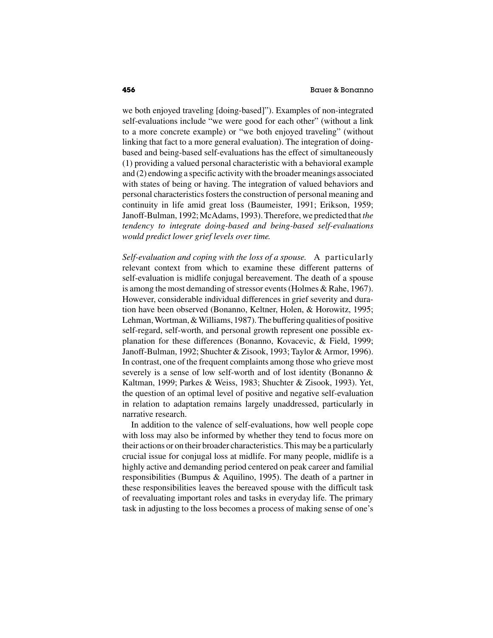we both enjoyed traveling [doing-based]"). Examples of non-integrated self-evaluations include "we were good for each other" (without a link to a more concrete example) or "we both enjoyed traveling" (without linking that fact to a more general evaluation). The integration of doingbased and being-based self-evaluations has the effect of simultaneously (1) providing a valued personal characteristic with a behavioral example and (2) endowing a specific activity with the broader meanings associated with states of being or having. The integration of valued behaviors and personal characteristics fosters the construction of personal meaning and continuity in life amid great loss (Baumeister, 1991; Erikson, 1959; Janoff-Bulman, 1992; McAdams, 1993). Therefore, we predicted that *the tendency to integrate doing-based and being-based self-evaluations would predict lower grief levels over time.*

*Self-evaluation and coping with the loss of a spouse.* A particularly relevant context from which to examine these different patterns of self-evaluation is midlife conjugal bereavement. The death of a spouse is among the most demanding of stressor events (Holmes & Rahe, 1967). However, considerable individual differences in grief severity and duration have been observed (Bonanno, Keltner, Holen, & Horowitz, 1995; Lehman, Wortman,  $&$  Williams, 1987). The buffering qualities of positive self-regard, self-worth, and personal growth represent one possible explanation for these differences (Bonanno, Kovacevic, & Field, 1999; Janoff-Bulman, 1992; Shuchter & Zisook, 1993; Taylor & Armor, 1996). In contrast, one of the frequent complaints among those who grieve most severely is a sense of low self-worth and of lost identity (Bonanno & Kaltman, 1999; Parkes & Weiss, 1983; Shuchter & Zisook, 1993). Yet, the question of an optimal level of positive and negative self-evaluation in relation to adaptation remains largely unaddressed, particularly in narrative research.

In addition to the valence of self-evaluations, how well people cope with loss may also be informed by whether they tend to focus more on their actions or on their broader characteristics. This may be a particularly crucial issue for conjugal loss at midlife. For many people, midlife is a highly active and demanding period centered on peak career and familial responsibilities (Bumpus & Aquilino, 1995). The death of a partner in these responsibilities leaves the bereaved spouse with the difficult task of reevaluating important roles and tasks in everyday life. The primary task in adjusting to the loss becomes a process of making sense of one's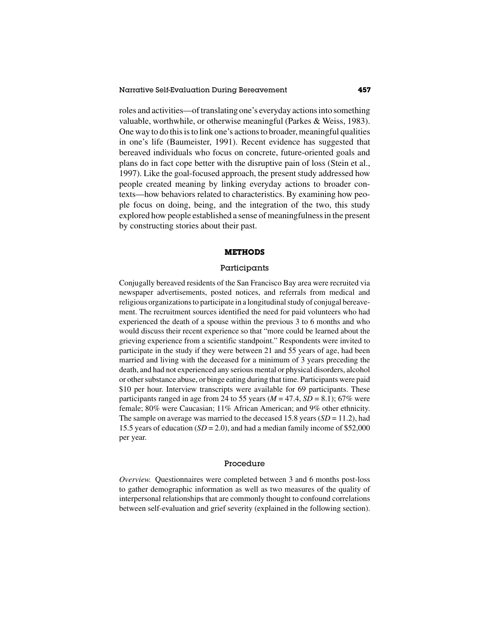roles and activities—of translating one's everyday actions into something valuable, worthwhile, or otherwise meaningful (Parkes & Weiss, 1983). One way to do this is to link one's actions to broader, meaningful qualities in one's life (Baumeister, 1991). Recent evidence has suggested that bereaved individuals who focus on concrete, future-oriented goals and plans do in fact cope better with the disruptive pain of loss (Stein et al., 1997). Like the goal-focused approach, the present study addressed how people created meaning by linking everyday actions to broader contexts—how behaviors related to characteristics. By examining how people focus on doing, being, and the integration of the two, this study explored how people established a sense of meaningfulness in the present by constructing stories about their past.

# **METHODS**

# Participants

Conjugally bereaved residents of the San Francisco Bay area were recruited via newspaper advertisements, posted notices, and referrals from medical and religious organizations to participate in a longitudinal study of conjugal bereavement. The recruitment sources identified the need for paid volunteers who had experienced the death of a spouse within the previous 3 to 6 months and who would discuss their recent experience so that "more could be learned about the grieving experience from a scientific standpoint." Respondents were invited to participate in the study if they were between 21 and 55 years of age, had been married and living with the deceased for a minimum of 3 years preceding the death, and had not experienced any serious mental or physical disorders, alcohol or other substance abuse, or binge eating during that time. Participants were paid \$10 per hour. Interview transcripts were available for 69 participants. These participants ranged in age from 24 to 55 years  $(M = 47.4, SD = 8.1)$ ; 67% were female; 80% were Caucasian; 11% African American; and 9% other ethnicity. The sample on average was married to the deceased 15.8 years  $(SD = 11.2)$ , had 15.5 years of education  $(SD = 2.0)$ , and had a median family income of \$52,000 per year.

# Procedure

*Overview.* Questionnaires were completed between 3 and 6 months post-loss to gather demographic information as well as two measures of the quality of interpersonal relationships that are commonly thought to confound correlations between self-evaluation and grief severity (explained in the following section).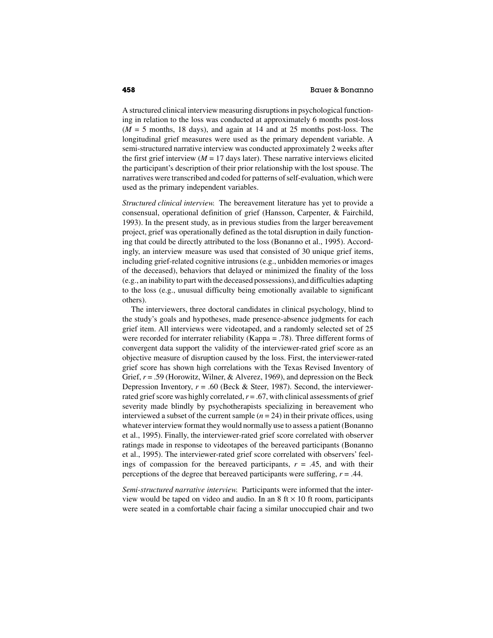A structured clinical interview measuring disruptions in psychological functioning in relation to the loss was conducted at approximately 6 months post-loss  $(M = 5$  months, 18 days), and again at 14 and at 25 months post-loss. The longitudinal grief measures were used as the primary dependent variable. A semi-structured narrative interview was conducted approximately 2 weeks after the first grief interview  $(M = 17$  days later). These narrative interviews elicited the participant's description of their prior relationship with the lost spouse. The narratives were transcribed and coded for patterns of self-evaluation, which were used as the primary independent variables.

*Structured clinical interview.* The bereavement literature has yet to provide a consensual, operational definition of grief (Hansson, Carpenter, & Fairchild, 1993). In the present study, as in previous studies from the larger bereavement project, grief was operationally defined as the total disruption in daily functioning that could be directly attributed to the loss (Bonanno et al., 1995). Accordingly, an interview measure was used that consisted of 30 unique grief items, including grief-related cognitive intrusions (e.g., unbidden memories or images of the deceased), behaviors that delayed or minimized the finality of the loss (e.g., an inability to part with the deceased possessions), and difficulties adapting to the loss (e.g., unusual difficulty being emotionally available to significant others).

The interviewers, three doctoral candidates in clinical psychology, blind to the study's goals and hypotheses, made presence-absence judgments for each grief item. All interviews were videotaped, and a randomly selected set of 25 were recorded for interrater reliability (Kappa = .78). Three different forms of convergent data support the validity of the interviewer-rated grief score as an objective measure of disruption caused by the loss. First, the interviewer-rated grief score has shown high correlations with the Texas Revised Inventory of Grief,  $r = .59$  (Horowitz, Wilner, & Alverez, 1969), and depression on the Beck Depression Inventory,  $r = .60$  (Beck & Steer, 1987). Second, the interviewerrated grief score was highly correlated,  $r = .67$ , with clinical assessments of grief severity made blindly by psychotherapists specializing in bereavement who interviewed a subset of the current sample  $(n = 24)$  in their private offices, using whatever interview format they would normally use to assess a patient (Bonanno et al., 1995). Finally, the interviewer-rated grief score correlated with observer ratings made in response to videotapes of the bereaved participants (Bonanno et al., 1995). The interviewer-rated grief score correlated with observers' feelings of compassion for the bereaved participants,  $r = .45$ , and with their perceptions of the degree that bereaved participants were suffering, *r* = .44.

*Semi-structured narrative interview.* Participants were informed that the interview would be taped on video and audio. In an  $8 \text{ ft} \times 10 \text{ ft}$  room, participants were seated in a comfortable chair facing a similar unoccupied chair and two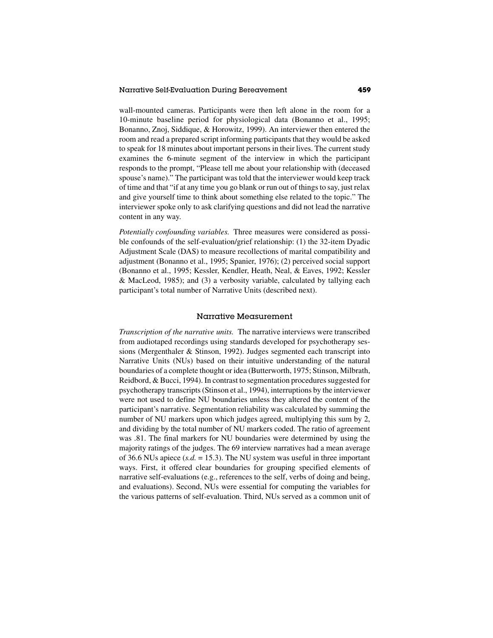wall-mounted cameras. Participants were then left alone in the room for a 10-minute baseline period for physiological data (Bonanno et al., 1995; Bonanno, Znoj, Siddique, & Horowitz, 1999). An interviewer then entered the room and read a prepared script informing participants that they would be asked to speak for 18 minutes about important persons in their lives. The current study examines the 6-minute segment of the interview in which the participant responds to the prompt, "Please tell me about your relationship with (deceased spouse's name)." The participant was told that the interviewer would keep track of time and that "if at any time you go blank or run out of things to say, just relax and give yourself time to think about something else related to the topic." The interviewer spoke only to ask clarifying questions and did not lead the narrative content in any way.

*Potentially confounding variables.* Three measures were considered as possible confounds of the self-evaluation/grief relationship: (1) the 32-item Dyadic Adjustment Scale (DAS) to measure recollections of marital compatibility and adjustment (Bonanno et al., 1995; Spanier, 1976); (2) perceived social support (Bonanno et al., 1995; Kessler, Kendler, Heath, Neal, & Eaves, 1992; Kessler & MacLeod, 1985); and (3) a verbosity variable, calculated by tallying each participant's total number of Narrative Units (described next).

# Narrative Measurement

*Transcription of the narrative units.* The narrative interviews were transcribed from audiotaped recordings using standards developed for psychotherapy sessions (Mergenthaler & Stinson, 1992). Judges segmented each transcript into Narrative Units (NUs) based on their intuitive understanding of the natural boundaries of a complete thought or idea (Butterworth, 1975; Stinson, Milbrath, Reidbord, & Bucci, 1994). In contrast to segmentation procedures suggested for psychotherapy transcripts (Stinson et al., 1994), interruptions by the interviewer were not used to define NU boundaries unless they altered the content of the participant's narrative. Segmentation reliability was calculated by summing the number of NU markers upon which judges agreed, multiplying this sum by 2, and dividing by the total number of NU markers coded. The ratio of agreement was .81. The final markers for NU boundaries were determined by using the majority ratings of the judges. The 69 interview narratives had a mean average of 36.6 NUs apiece (*s.d.* = 15.3). The NU system was useful in three important ways. First, it offered clear boundaries for grouping specified elements of narrative self-evaluations (e.g., references to the self, verbs of doing and being, and evaluations). Second, NUs were essential for computing the variables for the various patterns of self-evaluation. Third, NUs served as a common unit of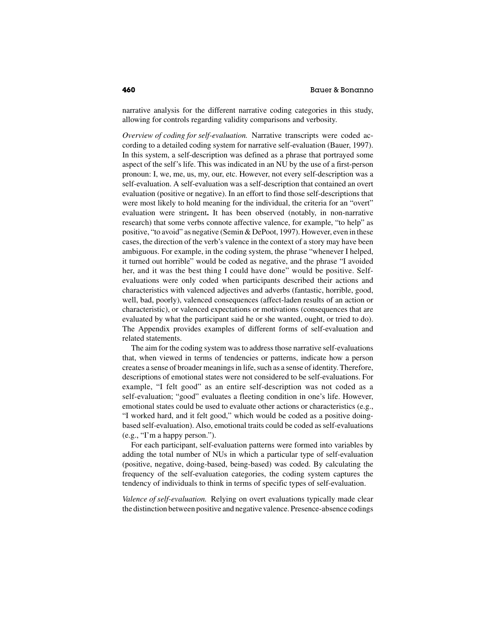narrative analysis for the different narrative coding categories in this study, allowing for controls regarding validity comparisons and verbosity.

*Overview of coding for self-evaluation.* Narrative transcripts were coded according to a detailed coding system for narrative self-evaluation (Bauer, 1997). In this system, a self-description was defined as a phrase that portrayed some aspect of the self's life. This was indicated in an NU by the use of a first-person pronoun: I, we, me, us, my, our, etc. However, not every self-description was a self-evaluation. A self-evaluation was a self-description that contained an overt evaluation (positive or negative). In an effort to find those self-descriptions that were most likely to hold meaning for the individual, the criteria for an "overt" evaluation were stringent**.** It has been observed (notably, in non-narrative research) that some verbs connote affective valence, for example, "to help" as positive, "to avoid" as negative (Semin & DePoot, 1997). However, even in these cases, the direction of the verb's valence in the context of a story may have been ambiguous. For example, in the coding system, the phrase "whenever I helped, it turned out horrible" would be coded as negative, and the phrase "I avoided her, and it was the best thing I could have done" would be positive. Selfevaluations were only coded when participants described their actions and characteristics with valenced adjectives and adverbs (fantastic, horrible, good, well, bad, poorly), valenced consequences (affect-laden results of an action or characteristic), or valenced expectations or motivations (consequences that are evaluated by what the participant said he or she wanted, ought, or tried to do). The Appendix provides examples of different forms of self-evaluation and related statements.

The aim for the coding system was to address those narrative self-evaluations that, when viewed in terms of tendencies or patterns, indicate how a person creates a sense of broader meanings in life, such as a sense of identity. Therefore, descriptions of emotional states were not considered to be self-evaluations. For example, "I felt good" as an entire self-description was not coded as a self-evaluation; "good" evaluates a fleeting condition in one's life. However, emotional states could be used to evaluate other actions or characteristics (e.g., "I worked hard, and it felt good," which would be coded as a positive doingbased self-evaluation). Also, emotional traits could be coded as self-evaluations (e.g., "I'm a happy person.").

For each participant, self-evaluation patterns were formed into variables by adding the total number of NUs in which a particular type of self-evaluation (positive, negative, doing-based, being-based) was coded. By calculating the frequency of the self-evaluation categories, the coding system captures the tendency of individuals to think in terms of specific types of self-evaluation.

*Valence of self-evaluation.* Relying on overt evaluations typically made clear the distinction between positive and negative valence. Presence-absence codings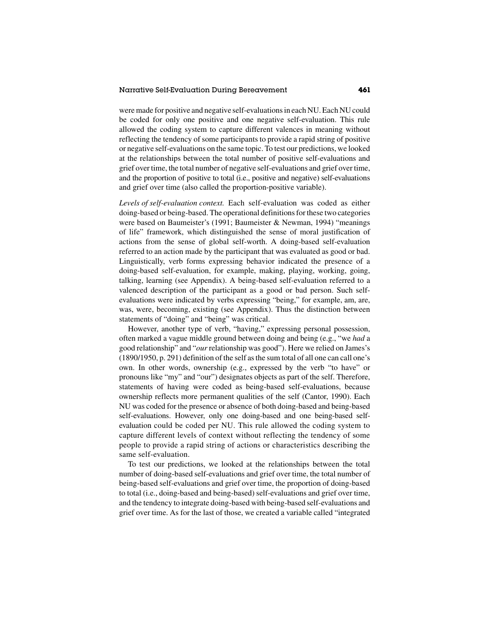were made for positive and negative self-evaluations in each NU. Each NU could be coded for only one positive and one negative self-evaluation. This rule allowed the coding system to capture different valences in meaning without reflecting the tendency of some participants to provide a rapid string of positive or negative self-evaluations on the same topic. To test our predictions, we looked at the relationships between the total number of positive self-evaluations and grief over time, the total number of negative self-evaluations and grief over time, and the proportion of positive to total (i.e., positive and negative) self-evaluations and grief over time (also called the proportion-positive variable).

*Levels of self-evaluation context.* Each self-evaluation was coded as either doing-based or being-based. The operational definitions for these two categories were based on Baumeister's (1991; Baumeister & Newman, 1994) "meanings of life" framework, which distinguished the sense of moral justification of actions from the sense of global self-worth. A doing-based self-evaluation referred to an action made by the participant that was evaluated as good or bad. Linguistically, verb forms expressing behavior indicated the presence of a doing-based self-evaluation, for example, making, playing, working, going, talking, learning (see Appendix). A being-based self-evaluation referred to a valenced description of the participant as a good or bad person. Such selfevaluations were indicated by verbs expressing "being," for example, am, are, was, were, becoming, existing (see Appendix). Thus the distinction between statements of "doing" and "being" was critical.

However, another type of verb, "having," expressing personal possession, often marked a vague middle ground between doing and being (e.g., "we *had* a good relationship" and "*our* relationship was good"). Here we relied on James's (1890/1950, p. 291) definition of the self as the sum total of all one can call one's own. In other words, ownership (e.g., expressed by the verb "to have" or pronouns like "my" and "our") designates objects as part of the self. Therefore, statements of having were coded as being-based self-evaluations, because ownership reflects more permanent qualities of the self (Cantor, 1990). Each NU was coded for the presence or absence of both doing-based and being-based self-evaluations. However, only one doing-based and one being-based selfevaluation could be coded per NU. This rule allowed the coding system to capture different levels of context without reflecting the tendency of some people to provide a rapid string of actions or characteristics describing the same self-evaluation.

To test our predictions, we looked at the relationships between the total number of doing-based self-evaluations and grief over time, the total number of being-based self-evaluations and grief over time, the proportion of doing-based to total (i.e., doing-based and being-based) self-evaluations and grief over time, and the tendency to integrate doing-based with being-based self-evaluations and grief over time. As for the last of those, we created a variable called "integrated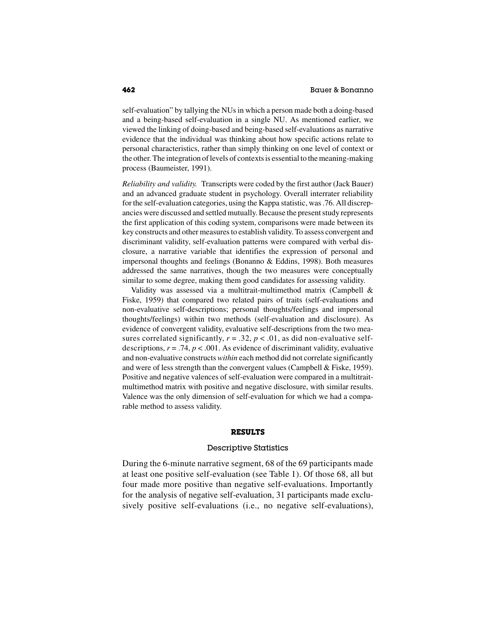self-evaluation" by tallying the NUs in which a person made both a doing-based and a being-based self-evaluation in a single NU. As mentioned earlier, we viewed the linking of doing-based and being-based self-evaluations as narrative evidence that the individual was thinking about how specific actions relate to personal characteristics, rather than simply thinking on one level of context or the other. The integration of levels of contexts is essential to the meaning-making process (Baumeister, 1991).

*Reliability and validity.* Transcripts were coded by the first author (Jack Bauer) and an advanced graduate student in psychology. Overall interrater reliability for the self-evaluation categories, using the Kappa statistic, was .76. All discrepancies were discussed and settled mutually. Because the present study represents the first application of this coding system, comparisons were made between its key constructs and other measures to establish validity. To assess convergent and discriminant validity, self-evaluation patterns were compared with verbal disclosure, a narrative variable that identifies the expression of personal and impersonal thoughts and feelings (Bonanno & Eddins, 1998). Both measures addressed the same narratives, though the two measures were conceptually similar to some degree, making them good candidates for assessing validity.

Validity was assessed via a multitrait-multimethod matrix (Campbell  $\&$ Fiske, 1959) that compared two related pairs of traits (self-evaluations and non-evaluative self-descriptions; personal thoughts/feelings and impersonal thoughts/feelings) within two methods (self-evaluation and disclosure). As evidence of convergent validity, evaluative self-descriptions from the two measures correlated significantly,  $r = .32$ ,  $p < .01$ , as did non-evaluative selfdescriptions,  $r = .74$ ,  $p < .001$ . As evidence of discriminant validity, evaluative and non-evaluative constructs *within* each method did not correlate significantly and were of less strength than the convergent values (Campbell & Fiske, 1959). Positive and negative valences of self-evaluation were compared in a multitraitmultimethod matrix with positive and negative disclosure, with similar results. Valence was the only dimension of self-evaluation for which we had a comparable method to assess validity.

#### **RESULTS**

# Descriptive Statistics

During the 6-minute narrative segment, 68 of the 69 participants made at least one positive self-evaluation (see Table 1). Of those 68, all but four made more positive than negative self-evaluations. Importantly for the analysis of negative self-evaluation, 31 participants made exclusively positive self-evaluations (i.e., no negative self-evaluations),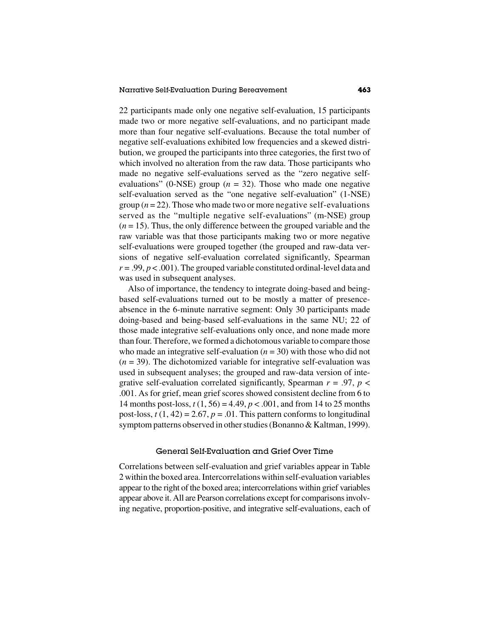22 participants made only one negative self-evaluation, 15 participants made two or more negative self-evaluations, and no participant made more than four negative self-evaluations. Because the total number of negative self-evaluations exhibited low frequencies and a skewed distribution, we grouped the participants into three categories, the first two of which involved no alteration from the raw data. Those participants who made no negative self-evaluations served as the "zero negative selfevaluations" (0-NSE) group ( $n = 32$ ). Those who made one negative self-evaluation served as the "one negative self-evaluation" (1-NSE) group  $(n = 22)$ . Those who made two or more negative self-evaluations served as the "multiple negative self-evaluations" (m-NSE) group  $(n = 15)$ . Thus, the only difference between the grouped variable and the raw variable was that those participants making two or more negative self-evaluations were grouped together (the grouped and raw-data versions of negative self-evaluation correlated significantly, Spearman *r* = .99, *p* < .001). The grouped variable constituted ordinal-level data and was used in subsequent analyses.

Also of importance, the tendency to integrate doing-based and beingbased self-evaluations turned out to be mostly a matter of presenceabsence in the 6-minute narrative segment: Only 30 participants made doing-based and being-based self-evaluations in the same NU; 22 of those made integrative self-evaluations only once, and none made more than four. Therefore, we formed a dichotomous variable to compare those who made an integrative self-evaluation  $(n = 30)$  with those who did not  $(n = 39)$ . The dichotomized variable for integrative self-evaluation was used in subsequent analyses; the grouped and raw-data version of integrative self-evaluation correlated significantly, Spearman *r* = .97, *p* < .001. As for grief, mean grief scores showed consistent decline from 6 to 14 months post-loss, *t* (1, 56) = 4.49, *p* < .001, and from 14 to 25 months post-loss,  $t(1, 42) = 2.67$ ,  $p = .01$ . This pattern conforms to longitudinal symptom patterns observed in other studies (Bonanno & Kaltman, 1999).

# General Self-Evaluation and Grief Over Time

Correlations between self-evaluation and grief variables appear in Table 2 within the boxed area. Intercorrelations within self-evaluation variables appear to the right of the boxed area; intercorrelations within grief variables appear above it. All are Pearson correlations except for comparisons involving negative, proportion-positive, and integrative self-evaluations, each of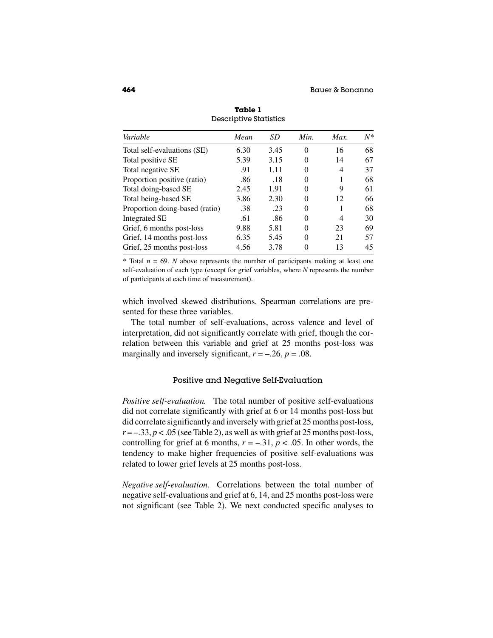| =================              |      |      |          |      |       |
|--------------------------------|------|------|----------|------|-------|
| Variable                       | Mean | SD.  | Min.     | Max. | $N^*$ |
| Total self-evaluations (SE)    | 6.30 | 3.45 | 0        | 16   | 68    |
| Total positive SE              | 5.39 | 3.15 | $\theta$ | 14   | 67    |
| Total negative SE              | .91  | 1.11 | 0        | 4    | 37    |
| Proportion positive (ratio)    | .86  | .18  | 0        |      | 68    |
| Total doing-based SE           | 2.45 | 1.91 | $\theta$ | 9    | 61    |
| Total being-based SE           | 3.86 | 2.30 | 0        | 12   | 66    |
| Proportion doing-based (ratio) | .38  | .23  | 0        |      | 68    |
| Integrated SE                  | .61  | .86  | $\theta$ | 4    | 30    |
| Grief, 6 months post-loss      | 9.88 | 5.81 | $\theta$ | 23   | 69    |
| Grief, 14 months post-loss     | 6.35 | 5.45 | 0        | 21   | 57    |
| Grief, 25 months post-loss     | 4.56 | 3.78 |          | 13   | 45    |

**Table 1** Descriptive Statistics

 $*$  Total  $n = 69$ . *N* above represents the number of participants making at least one self-evaluation of each type (except for grief variables, where *N* represents the number of participants at each time of measurement).

which involved skewed distributions. Spearman correlations are presented for these three variables.

The total number of self-evaluations, across valence and level of interpretation, did not significantly correlate with grief, though the correlation between this variable and grief at 25 months post-loss was marginally and inversely significant,  $r = -.26$ ,  $p = .08$ .

# Positive and Negative Self-Evaluation

*Positive self-evaluation.* The total number of positive self-evaluations did not correlate significantly with grief at 6 or 14 months post-loss but did correlate significantly and inversely with grief at 25 months post-loss,  $r = -0.33$ ,  $p < 0.05$  (see Table 2), as well as with grief at 25 months post-loss, controlling for grief at 6 months,  $r = -.31$ ,  $p < .05$ . In other words, the tendency to make higher frequencies of positive self-evaluations was related to lower grief levels at 25 months post-loss.

*Negative self-evaluation.* Correlations between the total number of negative self-evaluations and grief at 6, 14, and 25 months post-loss were not significant (see Table 2). We next conducted specific analyses to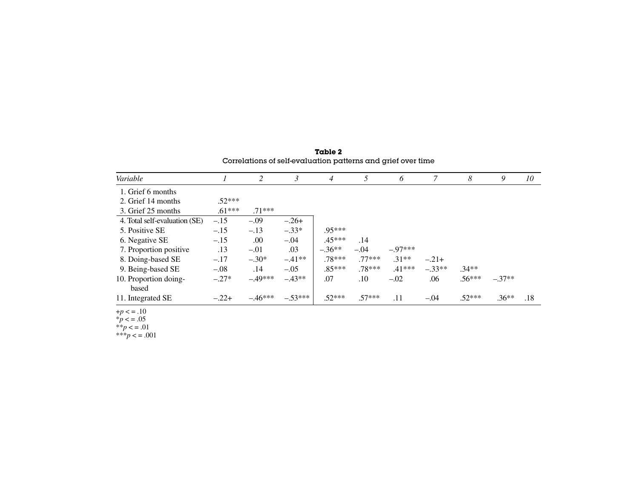| Variable                      |          | 2         | 3         | 4        | 5        | 6        | 7        | 8        | 9        | 10  |
|-------------------------------|----------|-----------|-----------|----------|----------|----------|----------|----------|----------|-----|
| 1. Grief 6 months             |          |           |           |          |          |          |          |          |          |     |
| 2. Grief 14 months            | $.52***$ |           |           |          |          |          |          |          |          |     |
| 3. Grief 25 months            | $.61***$ | $.71***$  |           |          |          |          |          |          |          |     |
| 4. Total self-evaluation (SE) | $-.15$   | $-.09$    | $-.26+$   |          |          |          |          |          |          |     |
| 5. Positive SE                | $-.15$   | $-.13$    | $-.33*$   | $95***$  |          |          |          |          |          |     |
| 6. Negative SE                | $-.15$   | .00       | $-.04$    | $45***$  | .14      |          |          |          |          |     |
| 7. Proportion positive        | .13      | $-.01$    | .03       | $-.36**$ | $-.04$   | $-97***$ |          |          |          |     |
| 8. Doing-based SE             | $-.17$   | $-.30*$   | $-.41**$  | .78***   | $.77***$ | $.31**$  | $-.21+$  |          |          |     |
| 9. Being-based SE             | $-.08$   | .14       | $-.05$    | $.85***$ | $.78***$ | $.41***$ | $-.33**$ | $.34**$  |          |     |
| 10. Proportion doing-         | $-.27*$  | $-.49***$ | $-43**$   | .07      | .10      | $-.02$   | .06      | $.56***$ | $-.37**$ |     |
| based                         |          |           |           |          |          |          |          |          |          |     |
| 11. Integrated SE             | $-.22+$  | $-.46***$ | $-.53***$ | $.52***$ | $.57***$ | .11      | $-.04$   | $.52***$ | $.36**$  | .18 |
| $\sim$ $\sim$ 10              |          |           |           |          |          |          |          |          |          |     |

**Table 2**Correlations of self-evaluation patterns and grief over time

 $+p < = .10$ 

$$
*p < = .05
$$

$$
^{**}p \leq 0.01
$$

\*\*\* $p < 0.001$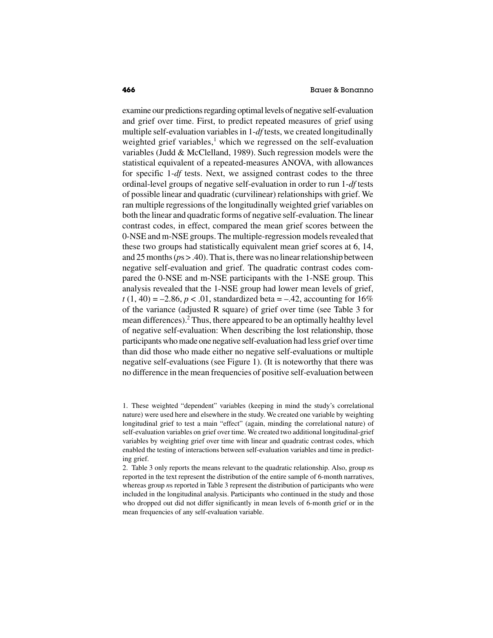examine our predictions regarding optimal levels of negative self-evaluation and grief over time. First, to predict repeated measures of grief using multiple self-evaluation variables in 1-*df* tests, we created longitudinally weighted grief variables, $<sup>1</sup>$  which we regressed on the self-evaluation</sup> variables (Judd & McClelland, 1989). Such regression models were the statistical equivalent of a repeated-measures ANOVA, with allowances for specific 1-*df* tests. Next, we assigned contrast codes to the three ordinal-level groups of negative self-evaluation in order to run 1-*df* tests of possible linear and quadratic (curvilinear) relationships with grief. We ran multiple regressions of the longitudinally weighted grief variables on both the linear and quadratic forms of negative self-evaluation. The linear contrast codes, in effect, compared the mean grief scores between the 0-NSE and m-NSE groups. The multiple-regression models revealed that these two groups had statistically equivalent mean grief scores at 6, 14, and 25 months ( $p_s$  > .40). That is, there was no linear relationship between negative self-evaluation and grief. The quadratic contrast codes compared the 0-NSE and m-NSE participants with the 1-NSE group. This analysis revealed that the 1-NSE group had lower mean levels of grief,  $t(1, 40) = -2.86, p < .01$ , standardized beta =  $-.42$ , accounting for 16% of the variance (adjusted R square) of grief over time (see Table 3 for mean differences).<sup>2</sup> Thus, there appeared to be an optimally healthy level of negative self-evaluation: When describing the lost relationship, those participants who made one negative self-evaluation had less grief over time than did those who made either no negative self-evaluations or multiple negative self-evaluations (see Figure 1). (It is noteworthy that there was no difference in the mean frequencies of positive self-evaluation between

1. These weighted "dependent" variables (keeping in mind the study's correlational nature) were used here and elsewhere in the study. We created one variable by weighting longitudinal grief to test a main "effect" (again, minding the correlational nature) of self-evaluation variables on grief over time. We created two additional longitudinal-grief variables by weighting grief over time with linear and quadratic contrast codes, which enabled the testing of interactions between self-evaluation variables and time in predicting grief.

2. Table 3 only reports the means relevant to the quadratic relationship. Also, group *n*s reported in the text represent the distribution of the entire sample of 6-month narratives, whereas group *n*s reported in Table 3 represent the distribution of participants who were included in the longitudinal analysis. Participants who continued in the study and those who dropped out did not differ significantly in mean levels of 6-month grief or in the mean frequencies of any self-evaluation variable.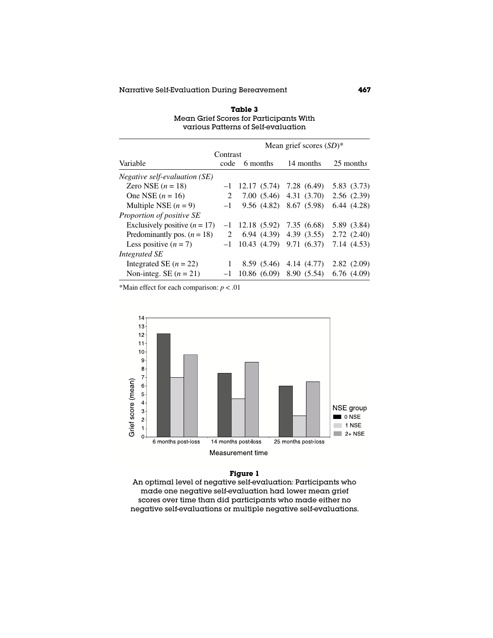# Narrative Self-Evaluation During Bereavement **467**

|                                      | Mean grief scores $(SD)^*$ |                                           |             |             |  |
|--------------------------------------|----------------------------|-------------------------------------------|-------------|-------------|--|
|                                      | Contrast                   |                                           |             |             |  |
| Variable                             | 6 months<br>code           |                                           | 14 months   | 25 months   |  |
| <i>Negative self-evaluation (SE)</i> |                            |                                           |             |             |  |
| Zero NSE $(n = 18)$                  |                            | $-1$ 12.17 (5.74)                         | 7.28 (6.49) | 5.83 (3.73) |  |
| One NSE $(n = 16)$                   | 2                          | 7.00 (5.46)                               | 4.31 (3.70) | 2.56(2.39)  |  |
| Multiple NSE $(n = 9)$               | $-1$                       | 9.56 (4.82)                               | 8.67 (5.98) | 6.44(4.28)  |  |
| Proportion of positive SE            |                            |                                           |             |             |  |
| Exclusively positive $(n = 17)$      |                            | $-1$ 12.18 (5.92) 7.35 (6.68) 5.89 (3.84) |             |             |  |
| Predominantly pos. $(n = 18)$        | 2                          | 6.94 (4.39)                               | 4.39(3.55)  | 2.72(2.40)  |  |
| Less positive $(n = 7)$              | $-1$                       | $10.43(4.79)$ 9.71 $(6.37)$               |             | 7.14(4.53)  |  |
| Integrated SE                        |                            |                                           |             |             |  |
| Integrated SE $(n = 22)$             | 1                          | 8.59(5.46)                                | 4.14 (4.77) | 2.82(2.09)  |  |
| Non-integ. SE $(n = 21)$             | $-1$                       | 10.86(6.09)                               | 8.90(5.54)  | 6.76(4.09)  |  |

**Table 3** Mean Grief Scores for Participants With various Patterns of Self-evaluation

\*Main effect for each comparison: *p* < .01



#### **Figure 1**

An optimal level of negative self-evaluation: Participants who made one negative self-evaluation had lower mean grief scores over time than did participants who made either no negative self-evaluations or multiple negative self-evaluations.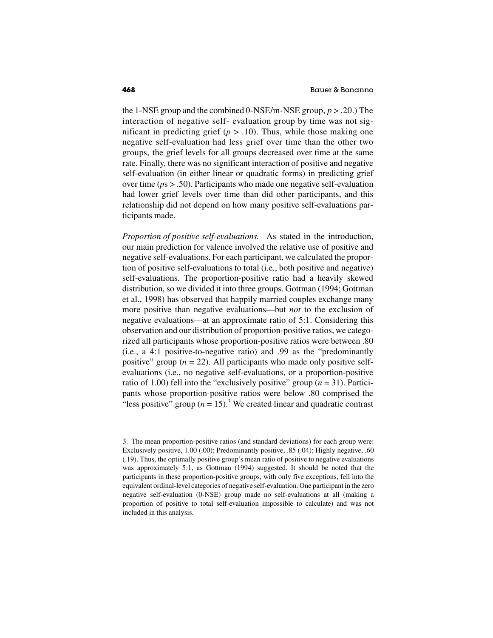the 1-NSE group and the combined 0-NSE/m-NSE group, *p* > .20.) The interaction of negative self- evaluation group by time was not significant in predicting grief  $(p > .10)$ . Thus, while those making one negative self-evaluation had less grief over time than the other two groups, the grief levels for all groups decreased over time at the same rate. Finally, there was no significant interaction of positive and negative self-evaluation (in either linear or quadratic forms) in predicting grief over time (*p*s > .50). Participants who made one negative self-evaluation had lower grief levels over time than did other participants, and this relationship did not depend on how many positive self-evaluations participants made.

*Proportion of positive self-evaluations.* As stated in the introduction, our main prediction for valence involved the relative use of positive and negative self-evaluations. For each participant, we calculated the proportion of positive self-evaluations to total (i.e., both positive and negative) self-evaluations. The proportion-positive ratio had a heavily skewed distribution, so we divided it into three groups. Gottman (1994; Gottman et al., 1998) has observed that happily married couples exchange many more positive than negative evaluations—but *not* to the exclusion of negative evaluations—at an approximate ratio of 5:1. Considering this observation and our distribution of proportion-positive ratios, we categorized all participants whose proportion-positive ratios were between .80 (i.e., a 4:1 positive-to-negative ratio) and .99 as the "predominantly positive" group  $(n = 22)$ . All participants who made only positive selfevaluations (i.e., no negative self-evaluations, or a proportion-positive ratio of 1.00) fell into the "exclusively positive" group  $(n = 31)$ . Participants whose proportion-positive ratios were below .80 comprised the "less positive" group  $(n = 15)$ .<sup>3</sup> We created linear and quadratic contrast

3. The mean proportion-positive ratios (and standard deviations) for each group were: Exclusively positive, 1.00 (.00); Predominantly positive, .85 (.04); Highly negative, .60 (.19). Thus, the optimally positive group's mean ratio of positive to negative evaluations was approximately 5:1, as Gottman (1994) suggested. It should be noted that the participants in these proportion-positive groups, with only five exceptions, fell into the equivalent ordinal-level categories of negative self-evaluation. One participant in the zero negative self-evaluation (0-NSE) group made no self-evaluations at all (making a proportion of positive to total self-evaluation impossible to calculate) and was not included in this analysis.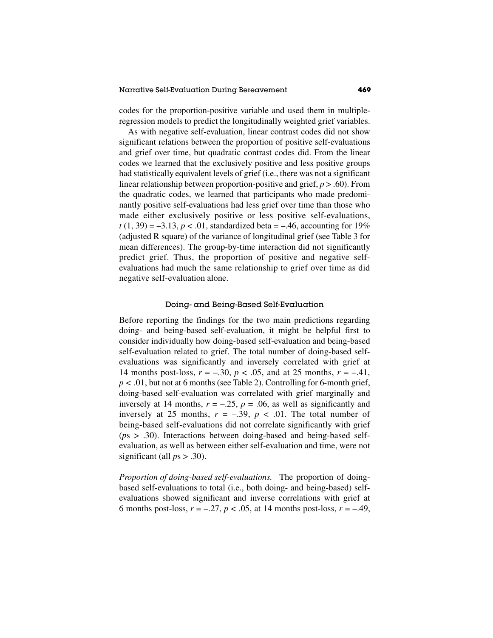codes for the proportion-positive variable and used them in multipleregression models to predict the longitudinally weighted grief variables.

As with negative self-evaluation, linear contrast codes did not show significant relations between the proportion of positive self-evaluations and grief over time, but quadratic contrast codes did. From the linear codes we learned that the exclusively positive and less positive groups had statistically equivalent levels of grief (i.e., there was not a significant linear relationship between proportion-positive and grief, *p* > .60). From the quadratic codes, we learned that participants who made predominantly positive self-evaluations had less grief over time than those who made either exclusively positive or less positive self-evaluations,  $t(1, 39) = -3.13, p < .01$ , standardized beta =  $-.46$ , accounting for 19% (adjusted R square) of the variance of longitudinal grief (see Table 3 for mean differences). The group-by-time interaction did not significantly predict grief. Thus, the proportion of positive and negative selfevaluations had much the same relationship to grief over time as did negative self-evaluation alone.

# Doing- and Being-Based Self-Evaluation

Before reporting the findings for the two main predictions regarding doing- and being-based self-evaluation, it might be helpful first to consider individually how doing-based self-evaluation and being-based self-evaluation related to grief. The total number of doing-based selfevaluations was significantly and inversely correlated with grief at 14 months post-loss,  $r = -.30$ ,  $p < .05$ , and at 25 months,  $r = -.41$ ,  $p < .01$ , but not at 6 months (see Table 2). Controlling for 6-month grief, doing-based self-evaluation was correlated with grief marginally and inversely at 14 months,  $r = -.25$ ,  $p = .06$ , as well as significantly and inversely at 25 months,  $r = -.39$ ,  $p < .01$ . The total number of being-based self-evaluations did not correlate significantly with grief (*p*s > .30). Interactions between doing-based and being-based selfevaluation, as well as between either self-evaluation and time, were not significant (all *p*s > .30).

*Proportion of doing-based self-evaluations.* The proportion of doingbased self-evaluations to total (i.e., both doing- and being-based) selfevaluations showed significant and inverse correlations with grief at 6 months post-loss,  $r = -.27$ ,  $p < .05$ , at 14 months post-loss,  $r = -.49$ ,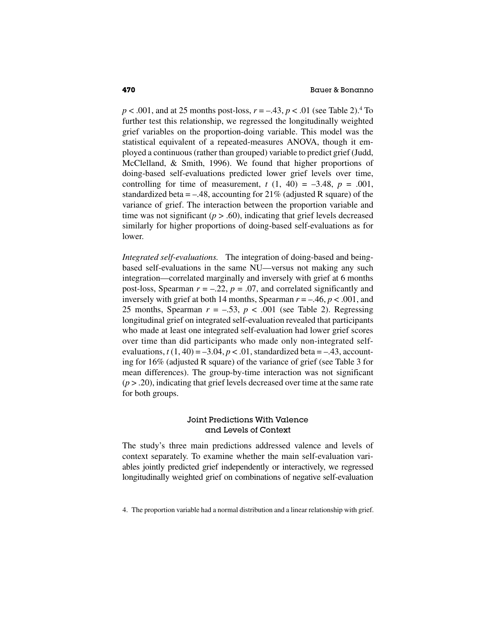*p* < .001, and at 25 months post-loss, *r* = –.43, *p* < .01 (see Table 2).4 To further test this relationship, we regressed the longitudinally weighted grief variables on the proportion-doing variable. This model was the statistical equivalent of a repeated-measures ANOVA, though it employed a continuous (rather than grouped) variable to predict grief (Judd, McClelland, & Smith, 1996). We found that higher proportions of doing-based self-evaluations predicted lower grief levels over time, controlling for time of measurement,  $t(1, 40) = -3.48$ ,  $p = .001$ , standardized beta  $=$  -.48, accounting for 21% (adjusted R square) of the variance of grief. The interaction between the proportion variable and time was not significant  $(p > .60)$ , indicating that grief levels decreased similarly for higher proportions of doing-based self-evaluations as for lower.

*Integrated self-evaluations.* The integration of doing-based and beingbased self-evaluations in the same NU—versus not making any such integration—correlated marginally and inversely with grief at 6 months post-loss, Spearman  $r = -0.22$ ,  $p = 0.07$ , and correlated significantly and inversely with grief at both 14 months, Spearman  $r = -0.46$ ,  $p < 0.001$ , and 25 months, Spearman  $r = -.53$ ,  $p < .001$  (see Table 2). Regressing longitudinal grief on integrated self-evaluation revealed that participants who made at least one integrated self-evaluation had lower grief scores over time than did participants who made only non-integrated selfevaluations,  $t(1, 40) = -3.04$ ,  $p < .01$ , standardized beta =  $-.43$ , accounting for 16% (adjusted R square) of the variance of grief (see Table 3 for mean differences). The group-by-time interaction was not significant (*p* > .20), indicating that grief levels decreased over time at the same rate for both groups.

# Joint Predictions With Valence and Levels of Context

The study's three main predictions addressed valence and levels of context separately. To examine whether the main self-evaluation variables jointly predicted grief independently or interactively, we regressed longitudinally weighted grief on combinations of negative self-evaluation

<sup>4.</sup> The proportion variable had a normal distribution and a linear relationship with grief.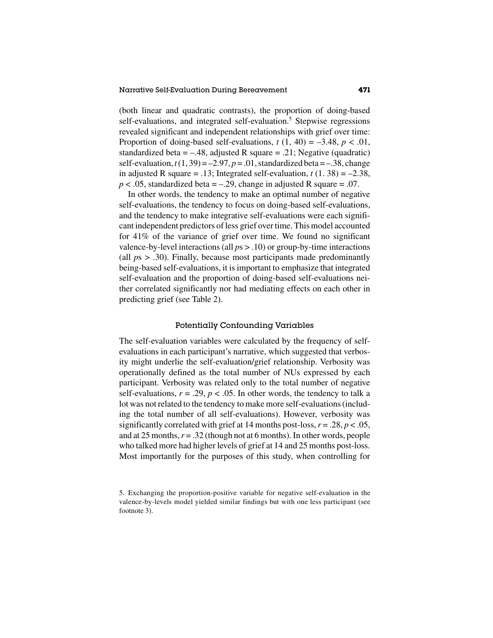(both linear and quadratic contrasts), the proportion of doing-based self-evaluations, and integrated self-evaluation.<sup>5</sup> Stepwise regressions revealed significant and independent relationships with grief over time: Proportion of doing-based self-evaluations,  $t(1, 40) = -3.48$ ,  $p < .01$ , standardized beta  $= -0.48$ , adjusted R square  $= 0.21$ ; Negative (quadratic) self-evaluation,  $t(1, 39) = -2.97$ ,  $p = .01$ , standardized beta =  $-.38$ , change in adjusted R square = .13; Integrated self-evaluation,  $t(1.38) = -2.38$ ,  $p < .05$ , standardized beta =  $-.29$ , change in adjusted R square = .07.

In other words, the tendency to make an optimal number of negative self-evaluations, the tendency to focus on doing-based self-evaluations, and the tendency to make integrative self-evaluations were each significant independent predictors of less grief over time. This model accounted for 41% of the variance of grief over time. We found no significant valence-by-level interactions (all *p*s > .10) or group-by-time interactions (all *p*s > .30). Finally, because most participants made predominantly being-based self-evaluations, it is important to emphasize that integrated self-evaluation and the proportion of doing-based self-evaluations neither correlated significantly nor had mediating effects on each other in predicting grief (see Table 2).

# Potentially Confounding Variables

The self-evaluation variables were calculated by the frequency of selfevaluations in each participant's narrative, which suggested that verbosity might underlie the self-evaluation/grief relationship. Verbosity was operationally defined as the total number of NUs expressed by each participant. Verbosity was related only to the total number of negative self-evaluations,  $r = .29$ ,  $p < .05$ . In other words, the tendency to talk a lot was not related to the tendency to make more self-evaluations (including the total number of all self-evaluations). However, verbosity was significantly correlated with grief at 14 months post-loss,  $r = .28$ ,  $p < .05$ , and at  $25$  months,  $r = .32$  (though not at 6 months). In other words, people who talked more had higher levels of grief at 14 and 25 months post-loss. Most importantly for the purposes of this study, when controlling for

<sup>5.</sup> Exchanging the proportion-positive variable for negative self-evaluation in the valence-by-levels model yielded similar findings but with one less participant (see footnote 3).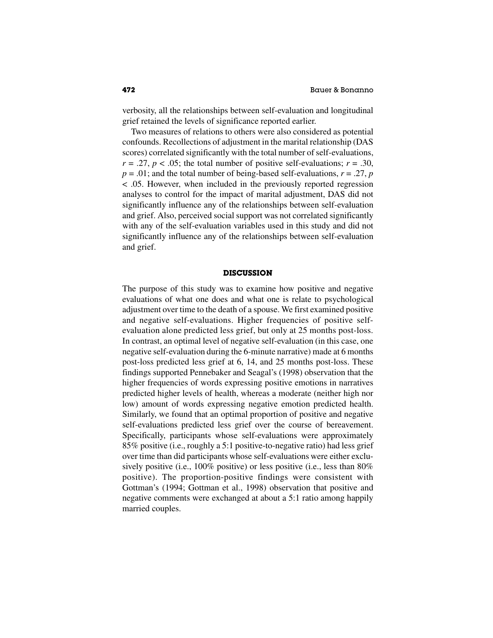verbosity, all the relationships between self-evaluation and longitudinal grief retained the levels of significance reported earlier.

Two measures of relations to others were also considered as potential confounds. Recollections of adjustment in the marital relationship (DAS scores) correlated significantly with the total number of self-evaluations,  $r = .27$ ,  $p < .05$ ; the total number of positive self-evaluations;  $r = .30$ ,  $p = .01$ ; and the total number of being-based self-evaluations,  $r = .27$ ,  $p$ < .05. However, when included in the previously reported regression analyses to control for the impact of marital adjustment, DAS did not significantly influence any of the relationships between self-evaluation and grief. Also, perceived social support was not correlated significantly with any of the self-evaluation variables used in this study and did not significantly influence any of the relationships between self-evaluation and grief.

# **DISCUSSION**

The purpose of this study was to examine how positive and negative evaluations of what one does and what one is relate to psychological adjustment over time to the death of a spouse. We first examined positive and negative self-evaluations. Higher frequencies of positive selfevaluation alone predicted less grief, but only at 25 months post-loss. In contrast, an optimal level of negative self-evaluation (in this case, one negative self-evaluation during the 6-minute narrative) made at 6 months post-loss predicted less grief at 6, 14, and 25 months post-loss. These findings supported Pennebaker and Seagal's (1998) observation that the higher frequencies of words expressing positive emotions in narratives predicted higher levels of health, whereas a moderate (neither high nor low) amount of words expressing negative emotion predicted health. Similarly, we found that an optimal proportion of positive and negative self-evaluations predicted less grief over the course of bereavement. Specifically, participants whose self-evaluations were approximately 85% positive (i.e., roughly a 5:1 positive-to-negative ratio) had less grief over time than did participants whose self-evaluations were either exclusively positive (i.e., 100% positive) or less positive (i.e., less than 80% positive). The proportion-positive findings were consistent with Gottman's (1994; Gottman et al., 1998) observation that positive and negative comments were exchanged at about a 5:1 ratio among happily married couples.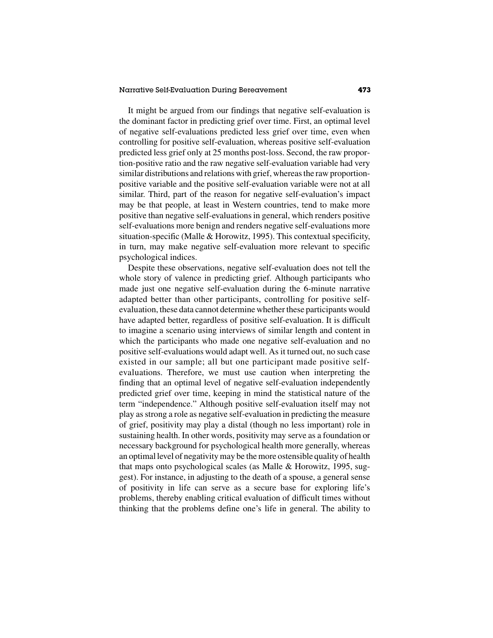It might be argued from our findings that negative self-evaluation is the dominant factor in predicting grief over time. First, an optimal level of negative self-evaluations predicted less grief over time, even when controlling for positive self-evaluation, whereas positive self-evaluation predicted less grief only at 25 months post-loss. Second, the raw proportion-positive ratio and the raw negative self-evaluation variable had very similar distributions and relations with grief, whereas the raw proportionpositive variable and the positive self-evaluation variable were not at all similar. Third, part of the reason for negative self-evaluation's impact may be that people, at least in Western countries, tend to make more positive than negative self-evaluations in general, which renders positive self-evaluations more benign and renders negative self-evaluations more situation-specific (Malle & Horowitz, 1995). This contextual specificity, in turn, may make negative self-evaluation more relevant to specific psychological indices.

Despite these observations, negative self-evaluation does not tell the whole story of valence in predicting grief. Although participants who made just one negative self-evaluation during the 6-minute narrative adapted better than other participants, controlling for positive selfevaluation, these data cannot determine whether these participants would have adapted better, regardless of positive self-evaluation. It is difficult to imagine a scenario using interviews of similar length and content in which the participants who made one negative self-evaluation and no positive self-evaluations would adapt well. As it turned out, no such case existed in our sample; all but one participant made positive selfevaluations. Therefore, we must use caution when interpreting the finding that an optimal level of negative self-evaluation independently predicted grief over time, keeping in mind the statistical nature of the term "independence." Although positive self-evaluation itself may not play as strong a role as negative self-evaluation in predicting the measure of grief, positivity may play a distal (though no less important) role in sustaining health. In other words, positivity may serve as a foundation or necessary background for psychological health more generally, whereas an optimal level of negativity may be the more ostensible quality of health that maps onto psychological scales (as Malle & Horowitz, 1995, suggest). For instance, in adjusting to the death of a spouse, a general sense of positivity in life can serve as a secure base for exploring life's problems, thereby enabling critical evaluation of difficult times without thinking that the problems define one's life in general. The ability to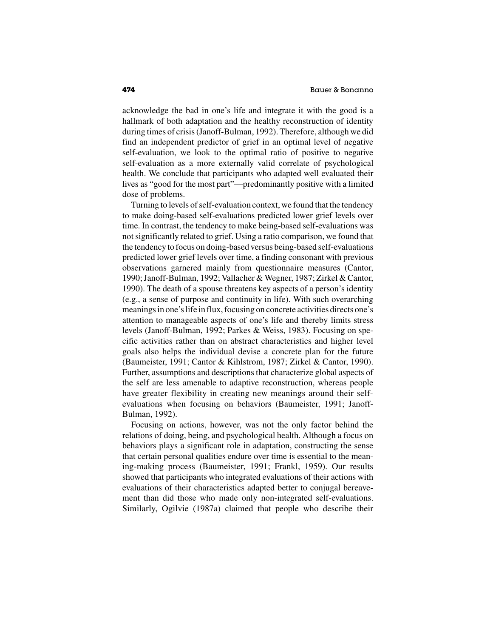acknowledge the bad in one's life and integrate it with the good is a hallmark of both adaptation and the healthy reconstruction of identity during times of crisis (Janoff-Bulman, 1992). Therefore, although we did find an independent predictor of grief in an optimal level of negative self-evaluation, we look to the optimal ratio of positive to negative self-evaluation as a more externally valid correlate of psychological health. We conclude that participants who adapted well evaluated their lives as "good for the most part"—predominantly positive with a limited dose of problems.

Turning to levels of self-evaluation context, we found that the tendency to make doing-based self-evaluations predicted lower grief levels over time. In contrast, the tendency to make being-based self-evaluations was not significantly related to grief. Using a ratio comparison, we found that the tendency to focus on doing-based versus being-based self-evaluations predicted lower grief levels over time, a finding consonant with previous observations garnered mainly from questionnaire measures (Cantor, 1990; Janoff-Bulman, 1992; Vallacher & Wegner, 1987; Zirkel & Cantor, 1990). The death of a spouse threatens key aspects of a person's identity (e.g., a sense of purpose and continuity in life). With such overarching meanings in one's life in flux, focusing on concrete activities directs one's attention to manageable aspects of one's life and thereby limits stress levels (Janoff-Bulman, 1992; Parkes & Weiss, 1983). Focusing on specific activities rather than on abstract characteristics and higher level goals also helps the individual devise a concrete plan for the future (Baumeister, 1991; Cantor & Kihlstrom, 1987; Zirkel & Cantor, 1990). Further, assumptions and descriptions that characterize global aspects of the self are less amenable to adaptive reconstruction, whereas people have greater flexibility in creating new meanings around their selfevaluations when focusing on behaviors (Baumeister, 1991; Janoff-Bulman, 1992).

Focusing on actions, however, was not the only factor behind the relations of doing, being, and psychological health. Although a focus on behaviors plays a significant role in adaptation, constructing the sense that certain personal qualities endure over time is essential to the meaning-making process (Baumeister, 1991; Frankl, 1959). Our results showed that participants who integrated evaluations of their actions with evaluations of their characteristics adapted better to conjugal bereavement than did those who made only non-integrated self-evaluations. Similarly, Ogilvie (1987a) claimed that people who describe their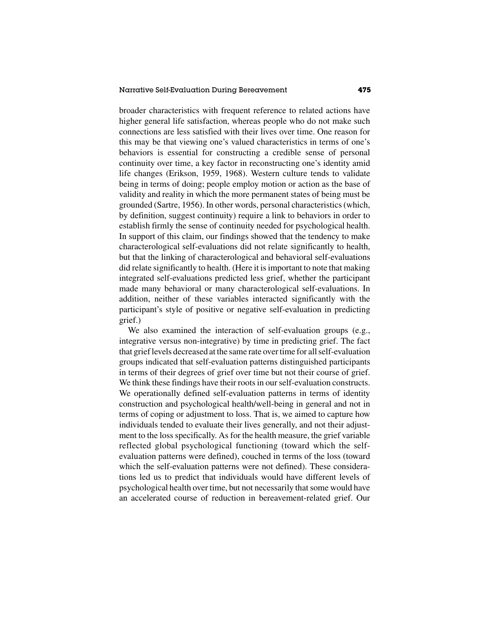broader characteristics with frequent reference to related actions have higher general life satisfaction, whereas people who do not make such connections are less satisfied with their lives over time. One reason for this may be that viewing one's valued characteristics in terms of one's behaviors is essential for constructing a credible sense of personal continuity over time, a key factor in reconstructing one's identity amid life changes (Erikson, 1959, 1968). Western culture tends to validate being in terms of doing; people employ motion or action as the base of validity and reality in which the more permanent states of being must be grounded (Sartre, 1956). In other words, personal characteristics (which, by definition, suggest continuity) require a link to behaviors in order to establish firmly the sense of continuity needed for psychological health. In support of this claim, our findings showed that the tendency to make characterological self-evaluations did not relate significantly to health, but that the linking of characterological and behavioral self-evaluations did relate significantly to health. (Here it is important to note that making integrated self-evaluations predicted less grief, whether the participant made many behavioral or many characterological self-evaluations. In addition, neither of these variables interacted significantly with the participant's style of positive or negative self-evaluation in predicting grief.)

We also examined the interaction of self-evaluation groups (e.g., integrative versus non-integrative) by time in predicting grief. The fact that grief levels decreased at the same rate over time for all self-evaluation groups indicated that self-evaluation patterns distinguished participants in terms of their degrees of grief over time but not their course of grief. We think these findings have their roots in our self-evaluation constructs. We operationally defined self-evaluation patterns in terms of identity construction and psychological health/well-being in general and not in terms of coping or adjustment to loss. That is, we aimed to capture how individuals tended to evaluate their lives generally, and not their adjustment to the loss specifically. As for the health measure, the grief variable reflected global psychological functioning (toward which the selfevaluation patterns were defined), couched in terms of the loss (toward which the self-evaluation patterns were not defined). These considerations led us to predict that individuals would have different levels of psychological health over time, but not necessarily that some would have an accelerated course of reduction in bereavement-related grief. Our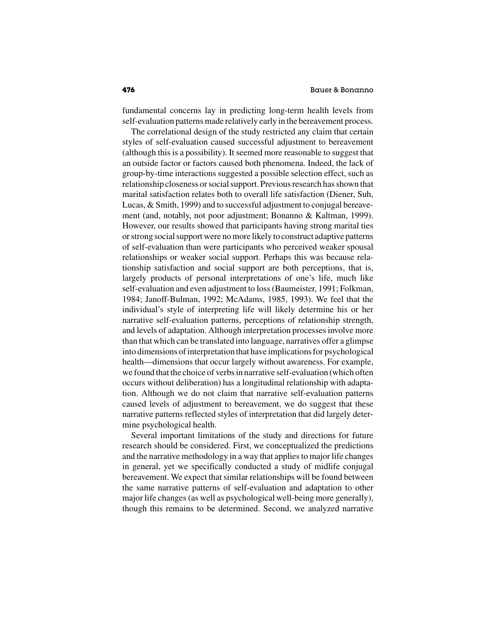fundamental concerns lay in predicting long-term health levels from self-evaluation patterns made relatively early in the bereavement process.

The correlational design of the study restricted any claim that certain styles of self-evaluation caused successful adjustment to bereavement (although this is a possibility). It seemed more reasonable to suggest that an outside factor or factors caused both phenomena. Indeed, the lack of group-by-time interactions suggested a possible selection effect, such as relationship closeness or social support. Previous research has shown that marital satisfaction relates both to overall life satisfaction (Diener, Suh, Lucas, & Smith, 1999) and to successful adjustment to conjugal bereavement (and, notably, not poor adjustment; Bonanno & Kaltman, 1999). However, our results showed that participants having strong marital ties or strong social support were no more likely to construct adaptive patterns of self-evaluation than were participants who perceived weaker spousal relationships or weaker social support. Perhaps this was because relationship satisfaction and social support are both perceptions, that is, largely products of personal interpretations of one's life, much like self-evaluation and even adjustment to loss (Baumeister, 1991; Folkman, 1984; Janoff-Bulman, 1992; McAdams, 1985, 1993). We feel that the individual's style of interpreting life will likely determine his or her narrative self-evaluation patterns, perceptions of relationship strength, and levels of adaptation. Although interpretation processes involve more than that which can be translated into language, narratives offer a glimpse into dimensions of interpretation that have implications for psychological health—dimensions that occur largely without awareness. For example, we found that the choice of verbs in narrative self-evaluation (which often occurs without deliberation) has a longitudinal relationship with adaptation. Although we do not claim that narrative self-evaluation patterns caused levels of adjustment to bereavement, we do suggest that these narrative patterns reflected styles of interpretation that did largely determine psychological health.

Several important limitations of the study and directions for future research should be considered. First, we conceptualized the predictions and the narrative methodology in a way that applies to major life changes in general, yet we specifically conducted a study of midlife conjugal bereavement. We expect that similar relationships will be found between the same narrative patterns of self-evaluation and adaptation to other major life changes (as well as psychological well-being more generally), though this remains to be determined. Second, we analyzed narrative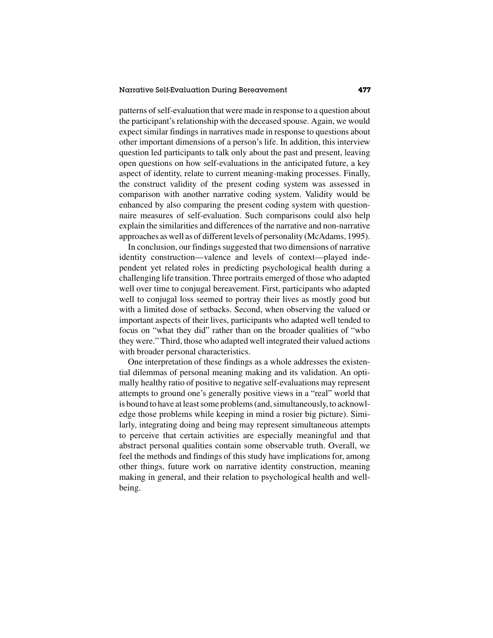patterns of self-evaluation that were made in response to a question about the participant's relationship with the deceased spouse. Again, we would expect similar findings in narratives made in response to questions about other important dimensions of a person's life. In addition, this interview question led participants to talk only about the past and present, leaving open questions on how self-evaluations in the anticipated future, a key aspect of identity, relate to current meaning-making processes. Finally, the construct validity of the present coding system was assessed in comparison with another narrative coding system. Validity would be enhanced by also comparing the present coding system with questionnaire measures of self-evaluation. Such comparisons could also help explain the similarities and differences of the narrative and non-narrative approaches as well as of different levels of personality (McAdams, 1995).

In conclusion, our findings suggested that two dimensions of narrative identity construction—valence and levels of context—played independent yet related roles in predicting psychological health during a challenging life transition. Three portraits emerged of those who adapted well over time to conjugal bereavement. First, participants who adapted well to conjugal loss seemed to portray their lives as mostly good but with a limited dose of setbacks. Second, when observing the valued or important aspects of their lives, participants who adapted well tended to focus on "what they did" rather than on the broader qualities of "who they were." Third, those who adapted well integrated their valued actions with broader personal characteristics.

One interpretation of these findings as a whole addresses the existential dilemmas of personal meaning making and its validation. An optimally healthy ratio of positive to negative self-evaluations may represent attempts to ground one's generally positive views in a "real" world that is bound to have at least some problems (and, simultaneously, to acknowledge those problems while keeping in mind a rosier big picture). Similarly, integrating doing and being may represent simultaneous attempts to perceive that certain activities are especially meaningful and that abstract personal qualities contain some observable truth. Overall, we feel the methods and findings of this study have implications for, among other things, future work on narrative identity construction, meaning making in general, and their relation to psychological health and wellbeing.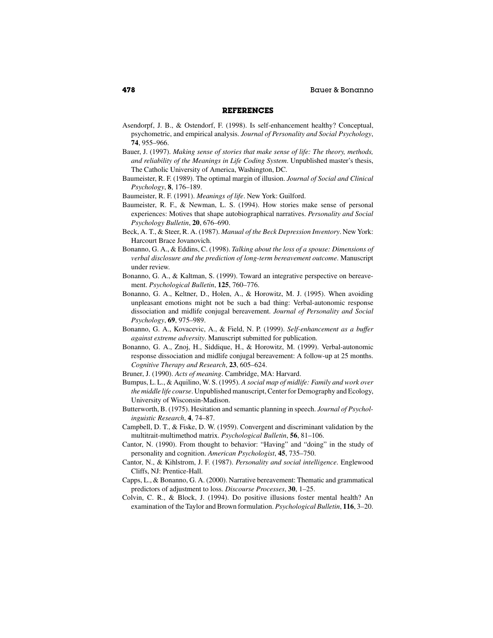#### **REFERENCES**

- Asendorpf, J. B., & Ostendorf, F. (1998). Is self-enhancement healthy? Conceptual, psychometric, and empirical analysis. *Journal of Personality and Social Psychology*, **74**, 955–966.
- Bauer, J. (1997). *Making sense of stories that make sense of life: The theory, methods, and reliability of the Meanings in Life Coding System*. Unpublished master's thesis, The Catholic University of America, Washington, DC.
- Baumeister, R. F. (1989). The optimal margin of illusion. *Journal of Social and Clinical Psychology*, **8**, 176–189.
- Baumeister, R. F. (1991). *Meanings of life*. New York: Guilford.
- Baumeister, R. F., & Newman, L. S. (1994). How stories make sense of personal experiences: Motives that shape autobiographical narratives. *Personality and Social Psychology Bulletin*, **20**, 676–690.
- Beck, A. T., & Steer, R. A. (1987). *Manual of the Beck Depression Inventory*. New York: Harcourt Brace Jovanovich.
- Bonanno, G. A., & Eddins, C. (1998). *Talking about the loss of a spouse: Dimensions of verbal disclosure and the prediction of long-term bereavement outcome*. Manuscript under review.
- Bonanno, G. A., & Kaltman, S. (1999). Toward an integrative perspective on bereavement. *Psychological Bulletin*, **125**, 760–776.
- Bonanno, G. A., Keltner, D., Holen, A., & Horowitz, M. J. (1995). When avoiding unpleasant emotions might not be such a bad thing: Verbal-autonomic response dissociation and midlife conjugal bereavement. *Journal of Personality and Social Psychology*, **69**, 975–989.
- Bonanno, G. A., Kovacevic, A., & Field, N. P. (1999). *Self-enhancement as a buffer against extreme adversity*. Manuscript submitted for publication.
- Bonanno, G. A., Znoj, H., Siddique, H., & Horowitz, M. (1999). Verbal-autonomic response dissociation and midlife conjugal bereavement: A follow-up at 25 months. *Cognitive Therapy and Research*, **23**, 605–624.
- Bruner, J. (1990). *Acts of meaning*. Cambridge, MA: Harvard.
- Bumpus, L. L., & Aquilino, W. S. (1995). *A social map of midlife: Family and work over the middle life course*. Unpublished manuscript, Center for Demography and Ecology, University of Wisconsin-Madison.
- Butterworth, B. (1975). Hesitation and semantic planning in speech. *Journal of Psycholinguistic Research*, **4**, 74–87.
- Campbell, D. T., & Fiske, D. W. (1959). Convergent and discriminant validation by the multitrait-multimethod matrix. *Psychological Bulletin*, **56**, 81–106.
- Cantor, N. (1990). From thought to behavior: "Having" and "doing" in the study of personality and cognition. *American Psychologist*, **45**, 735–750.
- Cantor, N., & Kihlstrom, J. F. (1987). *Personality and social intelligence*. Englewood Cliffs, NJ: Prentice-Hall.
- Capps, L., & Bonanno, G. A. (2000). Narrative bereavement: Thematic and grammatical predictors of adjustment to loss. *Discourse Processes*, **30**, 1–25.
- Colvin, C. R., & Block, J. (1994). Do positive illusions foster mental health? An examination of the Taylor and Brown formulation. *Psychological Bulletin*, **116**, 3–20.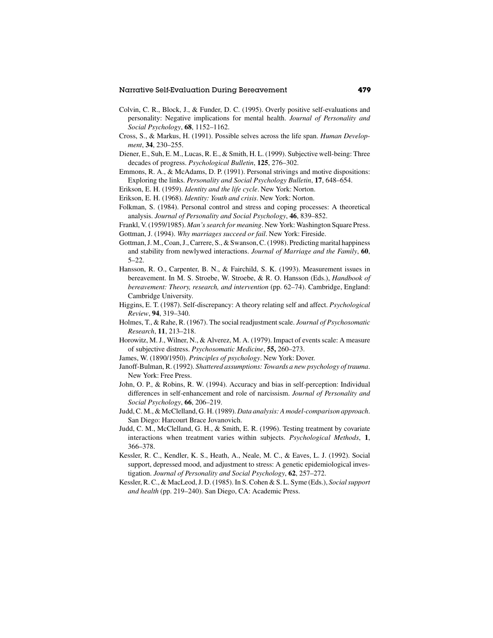- Colvin, C. R., Block, J., & Funder, D. C. (1995). Overly positive self-evaluations and personality: Negative implications for mental health. *Journal of Personality and Social Psychology*, **68**, 1152–1162.
- Cross, S., & Markus, H. (1991). Possible selves across the life span. *Human Development*, **34**, 230–255.
- Diener, E., Suh, E. M., Lucas, R. E., & Smith, H. L. (1999). Subjective well-being: Three decades of progress. *Psychological Bulletin*, **125**, 276–302.
- Emmons, R. A., & McAdams, D. P. (1991). Personal strivings and motive dispositions: Exploring the links. *Personality and Social Psychology Bulletin*, **17**, 648–654.
- Erikson, E. H. (1959). *Identity and the life cycle*. New York: Norton.
- Erikson, E. H. (1968). *Identity: Youth and crisis*. New York: Norton.
- Folkman, S. (1984). Personal control and stress and coping processes: A theoretical analysis. *Journal of Personality and Social Psychology*, **46**, 839–852.
- Frankl, V. (1959/1985). *Man's search for meaning*. New York: Washington Square Press.
- Gottman, J. (1994). *Why marriages succeed or fail*. New York: Fireside.
- Gottman, J. M., Coan, J., Carrere, S., & Swanson, C. (1998). Predicting marital happiness and stability from newlywed interactions. *Journal of Marriage and the Family*, **60**, 5–22.
- Hansson, R. O., Carpenter, B. N., & Fairchild, S. K. (1993). Measurement issues in bereavement. In M. S. Stroebe, W. Stroebe, & R. O. Hansson (Eds.), *Handbook of bereavement: Theory, research, and intervention* (pp. 62–74). Cambridge, England: Cambridge University.
- Higgins, E. T. (1987). Self-discrepancy: A theory relating self and affect. *Psychological Review*, **94**, 319–340.
- Holmes, T., & Rahe, R. (1967). The social readjustment scale. *Journal of Psychosomatic Research*, **11**, 213–218.
- Horowitz, M. J., Wilner, N., & Alverez, M. A. (1979). Impact of events scale: A measure of subjective distress. *Psychosomatic Medicine*, **55,** 260–273.
- James, W. (1890/1950). *Principles of psychology*. New York: Dover.
- Janoff-Bulman, R. (1992). *Shattered assumptions: Towards a new psychology of trauma*. New York: Free Press.
- John, O. P., & Robins, R. W. (1994). Accuracy and bias in self-perception: Individual differences in self-enhancement and role of narcissism. *Journal of Personality and Social Psychology*, **66**, 206–219.
- Judd, C. M., & McClelland, G. H. (1989). *Data analysis: A model-comparison approach*. San Diego: Harcourt Brace Jovanovich.
- Judd, C. M., McClelland, G. H., & Smith, E. R. (1996). Testing treatment by covariate interactions when treatment varies within subjects. *Psychological Methods*, **1**, 366–378.
- Kessler, R. C., Kendler, K. S., Heath, A., Neale, M. C., & Eaves, L. J. (1992). Social support, depressed mood, and adjustment to stress: A genetic epidemiological investigation. *Journal of Personality and Social Psychology*, **62**, 257–272.
- Kessler, R. C., & MacLeod, J. D. (1985). In S. Cohen & S. L. Syme (Eds.), *Social support and health* (pp. 219–240). San Diego, CA: Academic Press.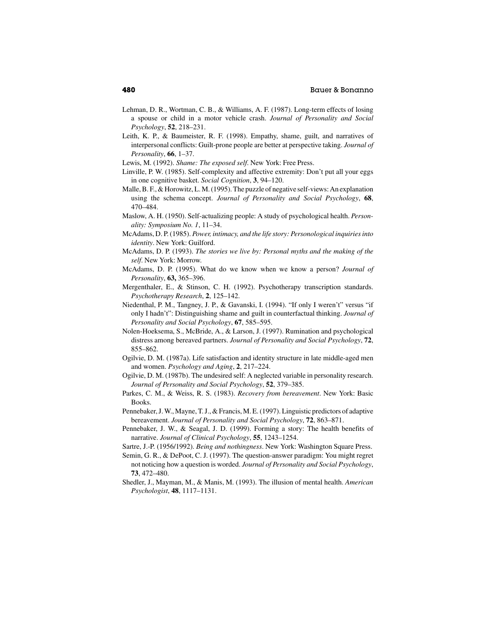- Lehman, D. R., Wortman, C. B., & Williams, A. F. (1987). Long-term effects of losing a spouse or child in a motor vehicle crash. *Journal of Personality and Social Psychology*, **52**, 218–231.
- Leith, K. P., & Baumeister, R. F. (1998). Empathy, shame, guilt, and narratives of interpersonal conflicts: Guilt-prone people are better at perspective taking. *Journal of Personality*, **66**, 1–37.
- Lewis, M. (1992). *Shame: The exposed self*. New York: Free Press.
- Linville, P. W. (1985). Self-complexity and affective extremity: Don't put all your eggs in one cognitive basket. *Social Cognition*, **3**, 94–120.
- Malle, B. F., & Horowitz, L. M. (1995). The puzzle of negative self-views: An explanation using the schema concept. *Journal of Personality and Social Psychology*, **68**, 470–484.
- Maslow, A. H. (1950). Self-actualizing people: A study of psychological health. *Personality: Symposium No. 1*, 11–34.
- McAdams, D. P. (1985). *Power, intimacy, and the life story: Personological inquiries into identity*. New York: Guilford.
- McAdams, D. P. (1993). *The stories we live by: Personal myths and the making of the self*. New York: Morrow.
- McAdams, D. P. (1995). What do we know when we know a person? *Journal of Personality*, **63,** 365–396.
- Mergenthaler, E., & Stinson, C. H. (1992). Psychotherapy transcription standards. *Psychotherapy Research*, **2**, 125–142.
- Niedenthal, P. M., Tangney, J. P., & Gavanski, I. (1994). "If only I weren't" versus "if only I hadn't": Distinguishing shame and guilt in counterfactual thinking. *Journal of Personality and Social Psychology*, **67**, 585–595.
- Nolen-Hoeksema, S., McBride, A., & Larson, J. (1997). Rumination and psychological distress among bereaved partners. *Journal of Personality and Social Psychology*, **72**, 855–862.
- Ogilvie, D. M. (1987a). Life satisfaction and identity structure in late middle-aged men and women. *Psychology and Aging*, **2**, 217–224.
- Ogilvie, D. M. (1987b). The undesired self: A neglected variable in personality research. *Journal of Personality and Social Psychology*, **52**, 379–385.
- Parkes, C. M., & Weiss, R. S. (1983). *Recovery from bereavement*. New York: Basic Books.
- Pennebaker, J. W., Mayne, T. J., & Francis, M. E. (1997). Linguistic predictors of adaptive bereavement. *Journal of Personality and Social Psychology*, **72**, 863–871.
- Pennebaker, J. W., & Seagal, J. D. (1999). Forming a story: The health benefits of narrative. *Journal of Clinical Psychology*, **55**, 1243–1254.
- Sartre, J.-P. (1956/1992). *Being and nothingness*. New York: Washington Square Press.
- Semin, G. R., & DePoot, C. J. (1997). The question-answer paradigm: You might regret not noticing how a question is worded. *Journal of Personality and Social Psychology*, **73**, 472–480.
- Shedler, J., Mayman, M., & Manis, M. (1993). The illusion of mental health. *American Psychologist*, **48**, 1117–1131.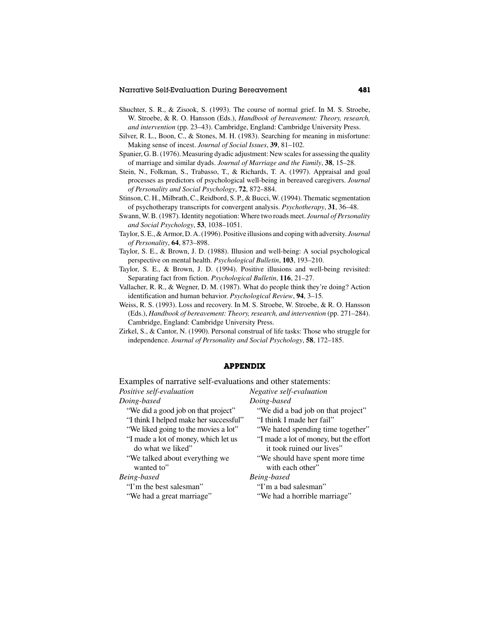- Shuchter, S. R., & Zisook, S. (1993). The course of normal grief. In M. S. Stroebe, W. Stroebe, & R. O. Hansson (Eds.), *Handbook of bereavement: Theory, research, and intervention* (pp. 23–43). Cambridge, England: Cambridge University Press.
- Silver, R. L., Boon, C., & Stones, M. H. (1983). Searching for meaning in misfortune: Making sense of incest. *Journal of Social Issues*, **39**, 81–102.
- Spanier, G. B. (1976). Measuring dyadic adjustment: New scales for assessing the quality of marriage and similar dyads. *Journal of Marriage and the Family*, **38**, 15–28.
- Stein, N., Folkman, S., Trabasso, T., & Richards, T. A. (1997). Appraisal and goal processes as predictors of psychological well-being in bereaved caregivers. *Journal of Personality and Social Psychology*, **72**, 872–884.

Stinson, C. H., Milbrath, C., Reidbord, S. P., & Bucci, W. (1994). Thematic segmentation of psychotherapy transcripts for convergent analysis. *Psychotherapy*, **31**, 36–48.

- Swann, W. B. (1987). Identity negotiation: Where two roads meet. *Journal of Personality and Social Psychology*, **53**, 1038–1051.
- Taylor, S. E., & Armor, D. A. (1996). Positive illusions and coping with adversity. *Journal of Personality*, **64**, 873–898.
- Taylor, S. E., & Brown, J. D. (1988). Illusion and well-being: A social psychological perspective on mental health. *Psychological Bulletin*, **103**, 193–210.
- Taylor, S. E., & Brown, J. D. (1994). Positive illusions and well-being revisited: Separating fact from fiction. *Psychological Bulletin*, **116**, 21–27.
- Vallacher, R. R., & Wegner, D. M. (1987). What do people think they're doing? Action identification and human behavior. *Psychological Review*, **94**, 3–15.
- Weiss, R. S. (1993). Loss and recovery. In M. S. Stroebe, W. Stroebe, & R. O. Hansson (Eds.), *Handbook of bereavement: Theory, research, and intervention* (pp. 271–284). Cambridge, England: Cambridge University Press.
- Zirkel, S., & Cantor, N. (1990). Personal construal of life tasks: Those who struggle for independence. *Journal of Personality and Social Psychology*, **58**, 172–185.

#### **APPENDIX**

Examples of narrative self-evaluations and other statements:

| Positive self-evaluation               | Negative self-evaluation               |
|----------------------------------------|----------------------------------------|
| Doing-based                            | Doing-based                            |
| "We did a good job on that project"    | "We did a bad job on that project"     |
| "I think I helped make her successful" | "I think I made her fail"              |
| "We liked going to the movies a lot"   | "We hated spending time together"      |
| "I made a lot of money, which let us   | "I made a lot of money, but the effort |
| do what we liked"                      | it took ruined our lives"              |
| "We talked about everything we         | "We should have spent more time"       |
| wanted to"                             | with each other"                       |
| Being-based                            | Being-based                            |
| "I'm the best salesman"                | "I'm a bad salesman"                   |
| "We had a great marriage"              | "We had a horrible marriage"           |
|                                        |                                        |